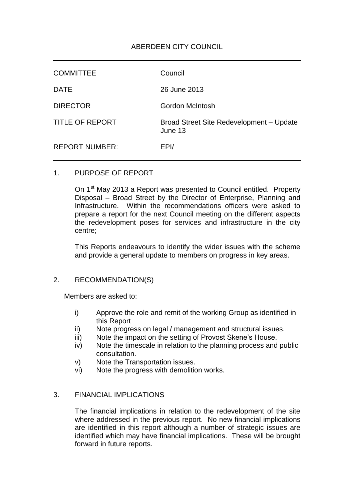# ABERDEEN CITY COUNCIL

| <b>COMMITTEE</b>       | Council                                             |
|------------------------|-----------------------------------------------------|
| <b>DATE</b>            | 26 June 2013                                        |
| <b>DIRECTOR</b>        | Gordon McIntosh                                     |
| <b>TITLE OF REPORT</b> | Broad Street Site Redevelopment - Update<br>June 13 |
| <b>REPORT NUMBER:</b>  | EPI/                                                |

## 1. PURPOSE OF REPORT

On 1<sup>st</sup> May 2013 a Report was presented to Council entitled. Property Disposal – Broad Street by the Director of Enterprise, Planning and Infrastructure. Within the recommendations officers were asked to prepare a report for the next Council meeting on the different aspects the redevelopment poses for services and infrastructure in the city centre;

This Reports endeavours to identify the wider issues with the scheme and provide a general update to members on progress in key areas.

#### 2. RECOMMENDATION(S)

Members are asked to:

- i) Approve the role and remit of the working Group as identified in this Report
- ii) Note progress on legal / management and structural issues.
- iii) Note the impact on the setting of Provost Skene's House.
- iv) Note the timescale in relation to the planning process and public consultation.
- v) Note the Transportation issues.
- vi) Note the progress with demolition works.

## 3. FINANCIAL IMPLICATIONS

The financial implications in relation to the redevelopment of the site where addressed in the previous report. No new financial implications are identified in this report although a number of strategic issues are identified which may have financial implications. These will be brought forward in future reports.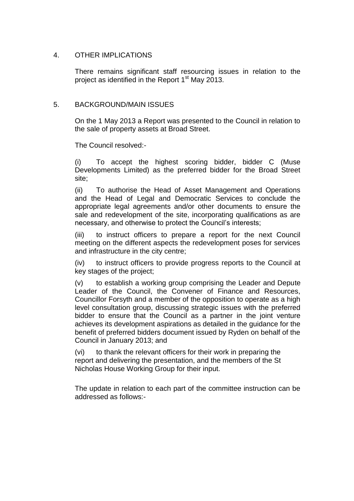### 4. OTHER IMPLICATIONS

There remains significant staff resourcing issues in relation to the project as identified in the Report  $1<sup>st</sup>$  May 2013.

### 5. BACKGROUND/MAIN ISSUES

On the 1 May 2013 a Report was presented to the Council in relation to the sale of property assets at Broad Street.

The Council resolved:-

(i) To accept the highest scoring bidder, bidder C (Muse Developments Limited) as the preferred bidder for the Broad Street site;

(ii) To authorise the Head of Asset Management and Operations and the Head of Legal and Democratic Services to conclude the appropriate legal agreements and/or other documents to ensure the sale and redevelopment of the site, incorporating qualifications as are necessary, and otherwise to protect the Council's interests;

(iii) to instruct officers to prepare a report for the next Council meeting on the different aspects the redevelopment poses for services and infrastructure in the city centre;

(iv) to instruct officers to provide progress reports to the Council at key stages of the project;

(v) to establish a working group comprising the Leader and Depute Leader of the Council, the Convener of Finance and Resources, Councillor Forsyth and a member of the opposition to operate as a high level consultation group, discussing strategic issues with the preferred bidder to ensure that the Council as a partner in the joint venture achieves its development aspirations as detailed in the guidance for the benefit of preferred bidders document issued by Ryden on behalf of the Council in January 2013; and

(vi) to thank the relevant officers for their work in preparing the report and delivering the presentation, and the members of the St Nicholas House Working Group for their input.

The update in relation to each part of the committee instruction can be addressed as follows:-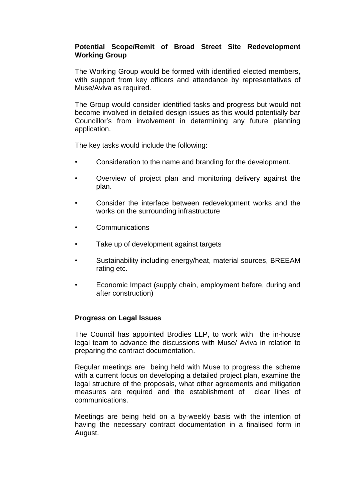## **Potential Scope/Remit of Broad Street Site Redevelopment Working Group**

The Working Group would be formed with identified elected members, with support from key officers and attendance by representatives of Muse/Aviva as required.

The Group would consider identified tasks and progress but would not become involved in detailed design issues as this would potentially bar Councillor's from involvement in determining any future planning application.

The key tasks would include the following:

- Consideration to the name and branding for the development.
- Overview of project plan and monitoring delivery against the plan.
- Consider the interface between redevelopment works and the works on the surrounding infrastructure
- **Communications**
- Take up of development against targets
- Sustainability including energy/heat, material sources, BREEAM rating etc.
- Economic Impact (supply chain, employment before, during and after construction)

#### **Progress on Legal Issues**

The Council has appointed Brodies LLP, to work with the in-house legal team to advance the discussions with Muse/ Aviva in relation to preparing the contract documentation.

Regular meetings are being held with Muse to progress the scheme with a current focus on developing a detailed project plan, examine the legal structure of the proposals, what other agreements and mitigation measures are required and the establishment of clear lines of communications.

Meetings are being held on a by-weekly basis with the intention of having the necessary contract documentation in a finalised form in August.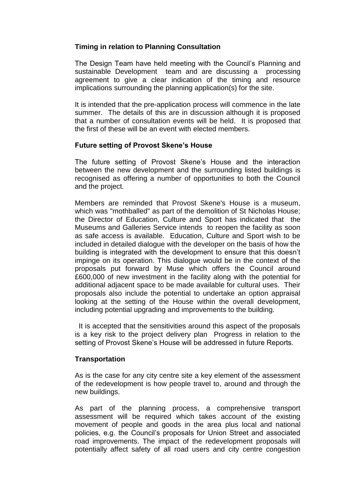## **Timing in relation to Planning Consultation**

The Design Team have held meeting with the Council's Planning and sustainable Development team and are discussing a processing agreement to give a clear indication of the timing and resource implications surrounding the planning application(s) for the site.

It is intended that the pre-application process will commence in the late summer. The details of this are in discussion although it is proposed that a number of consultation events will be held. It is proposed that the first of these will be an event with elected members.

## **Future setting of Provost Skene's House**

The future setting of Provost Skene's House and the interaction between the new development and the surrounding listed buildings is recognised as offering a number of opportunities to both the Council and the project.

Members are reminded that Provost Skene's House is a museum, which was "mothballed" as part of the demolition of St Nicholas House; the Director of Education, Culture and Sport has indicated that the Museums and Galleries Service intends to reopen the facility as soon as safe access is available. Education, Culture and Sport wish to be included in detailed dialogue with the developer on the basis of how the building is integrated with the development to ensure that this doesn't impinge on its operation. This dialogue would be in the context of the proposals put forward by Muse which offers the Council around £600,000 of new investment in the facility along with the potential for additional adjacent space to be made available for cultural uses. Their proposals also include the potential to undertake an option appraisal looking at the setting of the House within the overall development, including potential upgrading and improvements to the building.

 It is accepted that the sensitivities around this aspect of the proposals is a key risk to the project delivery plan Progress in relation to the setting of Provost Skene's House will be addressed in future Reports.

## **Transportation**

As is the case for any city centre site a key element of the assessment of the redevelopment is how people travel to, around and through the new buildings.

As part of the planning process, a comprehensive transport assessment will be required which takes account of the existing movement of people and goods in the area plus local and national policies, e.g. the Council's proposals for Union Street and associated road improvements. The impact of the redevelopment proposals will potentially affect safety of all road users and city centre congestion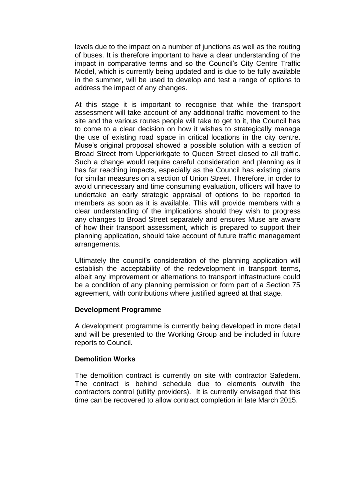levels due to the impact on a number of junctions as well as the routing of buses. It is therefore important to have a clear understanding of the impact in comparative terms and so the Council's City Centre Traffic Model, which is currently being updated and is due to be fully available in the summer, will be used to develop and test a range of options to address the impact of any changes.

At this stage it is important to recognise that while the transport assessment will take account of any additional traffic movement to the site and the various routes people will take to get to it, the Council has to come to a clear decision on how it wishes to strategically manage the use of existing road space in critical locations in the city centre. Muse's original proposal showed a possible solution with a section of Broad Street from Upperkirkgate to Queen Street closed to all traffic. Such a change would require careful consideration and planning as it has far reaching impacts, especially as the Council has existing plans for similar measures on a section of Union Street. Therefore, in order to avoid unnecessary and time consuming evaluation, officers will have to undertake an early strategic appraisal of options to be reported to members as soon as it is available. This will provide members with a clear understanding of the implications should they wish to progress any changes to Broad Street separately and ensures Muse are aware of how their transport assessment, which is prepared to support their planning application, should take account of future traffic management arrangements.

Ultimately the council's consideration of the planning application will establish the acceptability of the redevelopment in transport terms, albeit any improvement or alternations to transport infrastructure could be a condition of any planning permission or form part of a Section 75 agreement, with contributions where justified agreed at that stage.

## **Development Programme**

A development programme is currently being developed in more detail and will be presented to the Working Group and be included in future reports to Council.

## **Demolition Works**

The demolition contract is currently on site with contractor Safedem. The contract is behind schedule due to elements outwith the contractors control (utility providers). It is currently envisaged that this time can be recovered to allow contract completion in late March 2015.